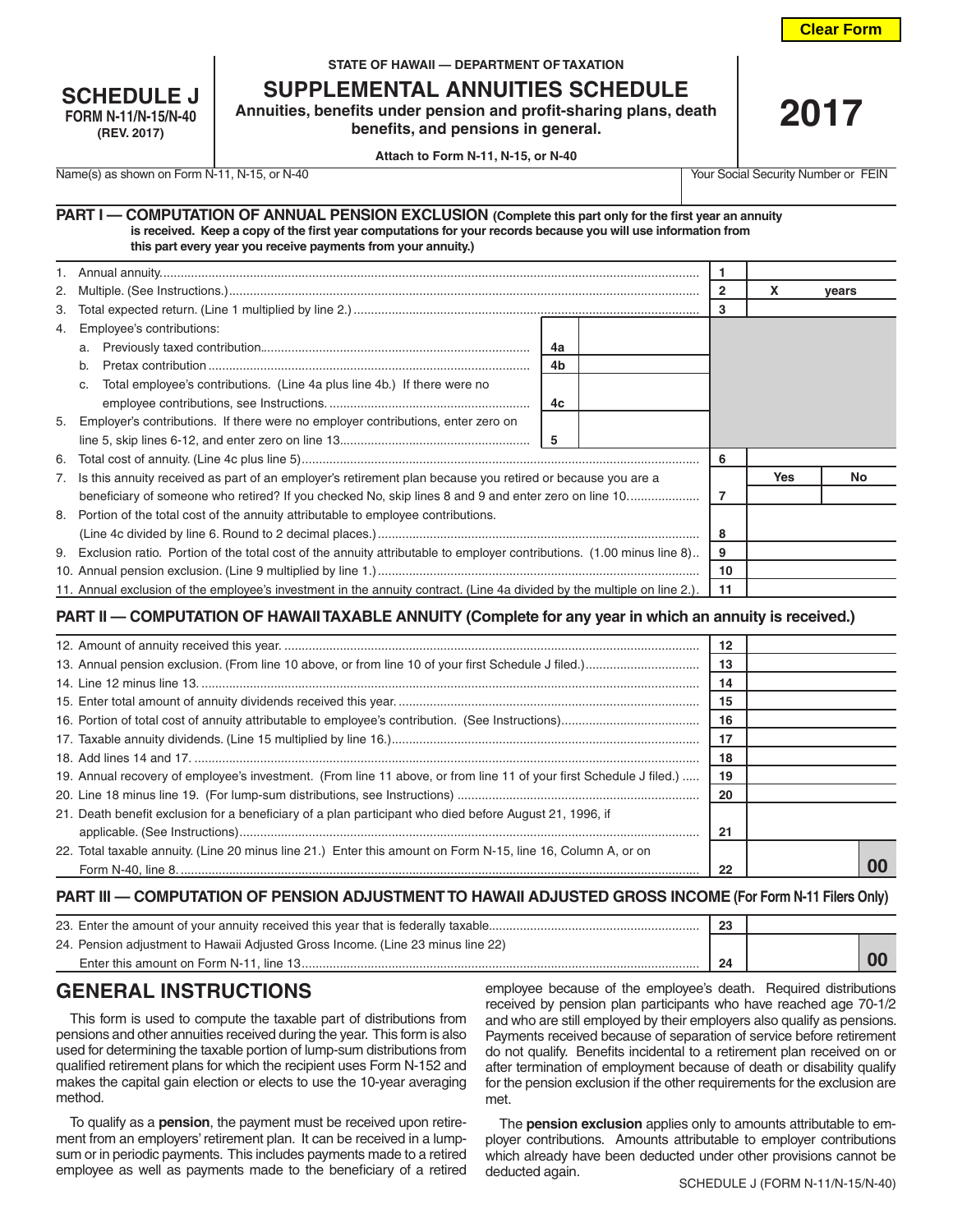**Clear Form**

| <b>SCHEDULE J</b>          |
|----------------------------|
| <b>FORM N-11/N-15/N-40</b> |
| (REV. 2017)                |

#### **STATE OF HAWAII — DEPARTMENT OF TAXATION**

**SUPPLEMENTAL ANNUITIES SCHEDULE**

**Annuities, benefits under pension and profit-sharing plans, death benefits, and pensions in general.**

**2017**

**Attach to Form N-11, N-15, or N-40**

Name(s) as shown on Form N-11, N-15, or N-40 Your Social Security Number or FEIN

| PART I - COMPUTATION OF ANNUAL PENSION EXCLUSION (Complete this part only for the first year an annuity        |  |
|----------------------------------------------------------------------------------------------------------------|--|
| is received. Keep a copy of the first year computations for your records because you will use information from |  |
| this part every year you receive payments from your annuity.)                                                  |  |

|                                                                                                                          |    |            | vears |  |
|--------------------------------------------------------------------------------------------------------------------------|----|------------|-------|--|
|                                                                                                                          |    |            |       |  |
| 4. Employee's contributions:                                                                                             |    |            |       |  |
| 4a<br>a.                                                                                                                 |    |            |       |  |
| 4b<br>b.                                                                                                                 |    |            |       |  |
| Total employee's contributions. (Line 4a plus line 4b.) If there were no<br>C.                                           |    |            |       |  |
| 4c                                                                                                                       |    |            |       |  |
| 5. Employer's contributions. If there were no employer contributions, enter zero on                                      |    |            |       |  |
| -5                                                                                                                       |    |            |       |  |
|                                                                                                                          | 6  |            |       |  |
| 7. Is this annuity received as part of an employer's retirement plan because you retired or because you are a            |    | <b>Yes</b> | No.   |  |
| beneficiary of someone who retired? If you checked No, skip lines 8 and 9 and enter zero on line 10                      | 7  |            |       |  |
| 8. Portion of the total cost of the annuity attributable to employee contributions.                                      |    |            |       |  |
|                                                                                                                          | 8  |            |       |  |
| 9. Exclusion ratio. Portion of the total cost of the annuity attributable to employer contributions. (1.00 minus line 8) |    |            |       |  |
|                                                                                                                          |    |            |       |  |
| 11. Annual exclusion of the employee's investment in the annuity contract. (Line 4a divided by the multiple on line 2.). | 11 |            |       |  |

### **PART II — COMPUTATION OF HAWAII TAXABLE ANNUITY (Complete for any year in which an annuity is received.)**

|                                                                                                                     | 12 |    |
|---------------------------------------------------------------------------------------------------------------------|----|----|
|                                                                                                                     | 13 |    |
|                                                                                                                     | 14 |    |
|                                                                                                                     | 15 |    |
|                                                                                                                     | 16 |    |
|                                                                                                                     | 17 |    |
|                                                                                                                     | 18 |    |
| 19. Annual recovery of employee's investment. (From line 11 above, or from line 11 of your first Schedule J filed.) | 19 |    |
|                                                                                                                     | 20 |    |
| 21. Death benefit exclusion for a beneficiary of a plan participant who died before August 21, 1996, if             |    |    |
|                                                                                                                     | 21 |    |
| 22. Total taxable annuity. (Line 20 minus line 21.) Enter this amount on Form N-15, line 16, Column A, or on        |    |    |
|                                                                                                                     | 22 | 00 |

#### **PART III — COMPUTATION OF PENSION ADJUSTMENT TO HAWAII ADJUSTED GROSS INCOME (For Form N-11 Filers Only)**

| 23. Enter the amount of your annuity received this year that is federally taxable | 23 |  |  |
|-----------------------------------------------------------------------------------|----|--|--|
| 24. Pension adjustment to Hawaii Adjusted Gross Income. (Line 23 minus line 22)   |    |  |  |
| Enter this amount on Form N-11, line 13                                           | 24 |  |  |

## **GENERAL INSTRUCTIONS**

This form is used to compute the taxable part of distributions from pensions and other annuities received during the year. This form is also used for determining the taxable portion of lump-sum distributions from qualified retirement plans for which the recipient uses Form N-152 and makes the capital gain election or elects to use the 10-year averaging method.

To qualify as a **pension**, the payment must be received upon retirement from an employers' retirement plan. It can be received in a lumpsum or in periodic payments. This includes payments made to a retired employee as well as payments made to the beneficiary of a retired

employee because of the employee's death. Required distributions received by pension plan participants who have reached age 70-1/2 and who are still employed by their employers also qualify as pensions. Payments received because of separation of service before retirement do not qualify. Benefits incidental to a retirement plan received on or after termination of employment because of death or disability qualify for the pension exclusion if the other requirements for the exclusion are met.

The **pension exclusion** applies only to amounts attributable to employer contributions. Amounts attributable to employer contributions which already have been deducted under other provisions cannot be deducted again.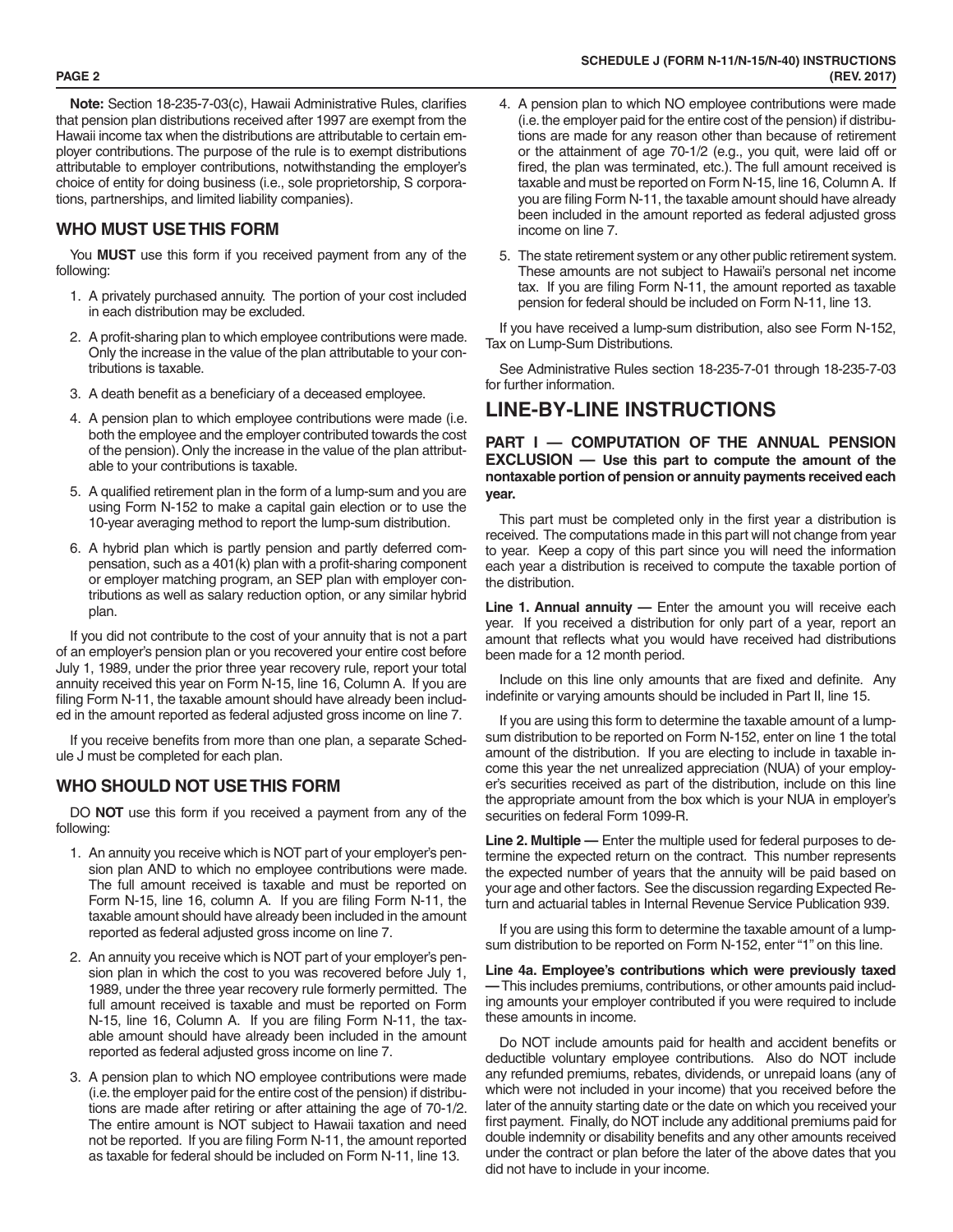**Note:** Section 18-235-7-03(c), Hawaii Administrative Rules, clarifies that pension plan distributions received after 1997 are exempt from the Hawaii income tax when the distributions are attributable to certain employer contributions. The purpose of the rule is to exempt distributions attributable to employer contributions, notwithstanding the employer's choice of entity for doing business (i.e., sole proprietorship, S corporations, partnerships, and limited liability companies).

## **WHO MUST USE THIS FORM**

You **MUST** use this form if you received payment from any of the following:

- 1. A privately purchased annuity. The portion of your cost included in each distribution may be excluded.
- 2. A profit-sharing plan to which employee contributions were made. Only the increase in the value of the plan attributable to your contributions is taxable.
- 3. A death benefit as a beneficiary of a deceased employee.
- 4. A pension plan to which employee contributions were made (i.e. both the employee and the employer contributed towards the cost of the pension). Only the increase in the value of the plan attributable to your contributions is taxable.
- 5. A qualified retirement plan in the form of a lump-sum and you are using Form N-152 to make a capital gain election or to use the 10-year averaging method to report the lump-sum distribution.
- 6. A hybrid plan which is partly pension and partly deferred compensation, such as a 401(k) plan with a profit-sharing component or employer matching program, an SEP plan with employer contributions as well as salary reduction option, or any similar hybrid plan.

If you did not contribute to the cost of your annuity that is not a part of an employer's pension plan or you recovered your entire cost before July 1, 1989, under the prior three year recovery rule, report your total annuity received this year on Form N-15, line 16, Column A. If you are filing Form N-11, the taxable amount should have already been included in the amount reported as federal adjusted gross income on line 7.

If you receive benefits from more than one plan, a separate Schedule J must be completed for each plan.

### **WHO SHOULD NOT USE THIS FORM**

DO **NOT** use this form if you received a payment from any of the following:

- 1. An annuity you receive which is NOT part of your employer's pension plan AND to which no employee contributions were made. The full amount received is taxable and must be reported on Form N-15, line 16, column A. If you are filing Form N-11, the taxable amount should have already been included in the amount reported as federal adjusted gross income on line 7.
- 2. An annuity you receive which is NOT part of your employer's pension plan in which the cost to you was recovered before July 1, 1989, under the three year recovery rule formerly permitted. The full amount received is taxable and must be reported on Form N-15, line 16, Column A. If you are filing Form N-11, the taxable amount should have already been included in the amount reported as federal adjusted gross income on line 7.
- 3. A pension plan to which NO employee contributions were made (i.e. the employer paid for the entire cost of the pension) if distributions are made after retiring or after attaining the age of 70-1/2. The entire amount is NOT subject to Hawaii taxation and need not be reported. If you are filing Form N-11, the amount reported as taxable for federal should be included on Form N-11, line 13.
- 4. A pension plan to which NO employee contributions were made (i.e. the employer paid for the entire cost of the pension) if distributions are made for any reason other than because of retirement or the attainment of age 70-1/2 (e.g., you quit, were laid off or fired, the plan was terminated, etc.). The full amount received is taxable and must be reported on Form N-15, line 16, Column A. If you are filing Form N-11, the taxable amount should have already been included in the amount reported as federal adjusted gross income on line 7.
- 5. The state retirement system or any other public retirement system. These amounts are not subject to Hawaii's personal net income tax. If you are filing Form N-11, the amount reported as taxable pension for federal should be included on Form N-11, line 13.

If you have received a lump-sum distribution, also see Form N-152, Tax on Lump-Sum Distributions.

See Administrative Rules section 18-235-7-01 through 18-235-7-03 for further information.

# **LINE-BY-LINE INSTRUCTIONS**

#### **PART I — COMPUTATION OF THE ANNUAL PENSION EXCLUSION — Use this part to compute the amount of the nontaxable portion of pension or annuity payments received each year.**

This part must be completed only in the first year a distribution is received. The computations made in this part will not change from year to year. Keep a copy of this part since you will need the information each year a distribution is received to compute the taxable portion of the distribution.

**Line 1. Annual annuity —** Enter the amount you will receive each year. If you received a distribution for only part of a year, report an amount that reflects what you would have received had distributions been made for a 12 month period.

Include on this line only amounts that are fixed and definite. Any indefinite or varying amounts should be included in Part II, line 15.

If you are using this form to determine the taxable amount of a lumpsum distribution to be reported on Form N-152, enter on line 1 the total amount of the distribution. If you are electing to include in taxable income this year the net unrealized appreciation (NUA) of your employer's securities received as part of the distribution, include on this line the appropriate amount from the box which is your NUA in employer's securities on federal Form 1099-R.

**Line 2. Multiple —** Enter the multiple used for federal purposes to determine the expected return on the contract. This number represents the expected number of years that the annuity will be paid based on your age and other factors. See the discussion regarding Expected Return and actuarial tables in Internal Revenue Service Publication 939.

If you are using this form to determine the taxable amount of a lumpsum distribution to be reported on Form N-152, enter "1" on this line.

**Line 4a. Employee's contributions which were previously taxed —** This includes premiums, contributions, or other amounts paid including amounts your employer contributed if you were required to include these amounts in income.

Do NOT include amounts paid for health and accident benefits or deductible voluntary employee contributions. Also do NOT include any refunded premiums, rebates, dividends, or unrepaid loans (any of which were not included in your income) that you received before the later of the annuity starting date or the date on which you received your first payment. Finally, do NOT include any additional premiums paid for double indemnity or disability benefits and any other amounts received under the contract or plan before the later of the above dates that you did not have to include in your income.